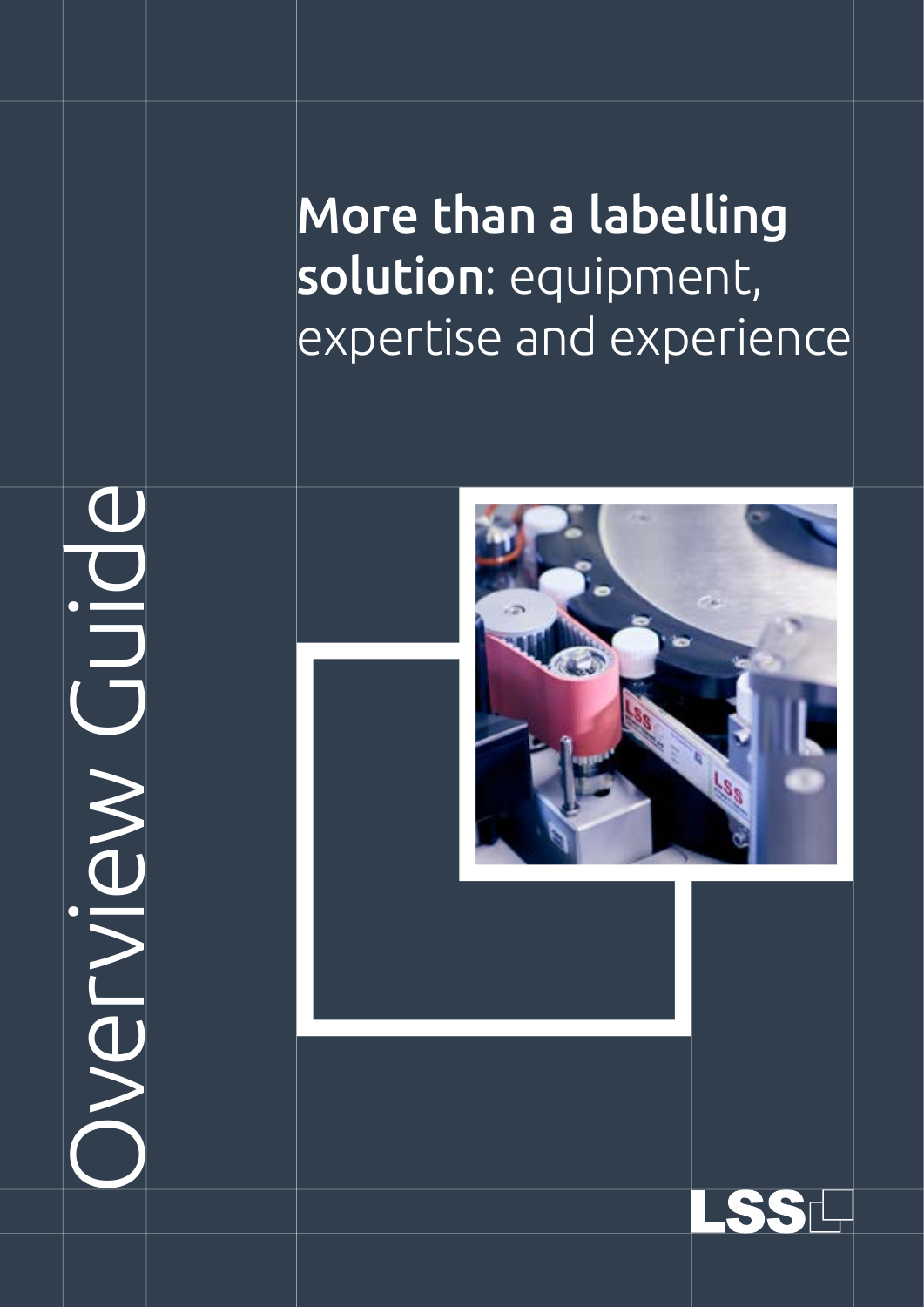More than a labelling solution: equipment, expertise and experience

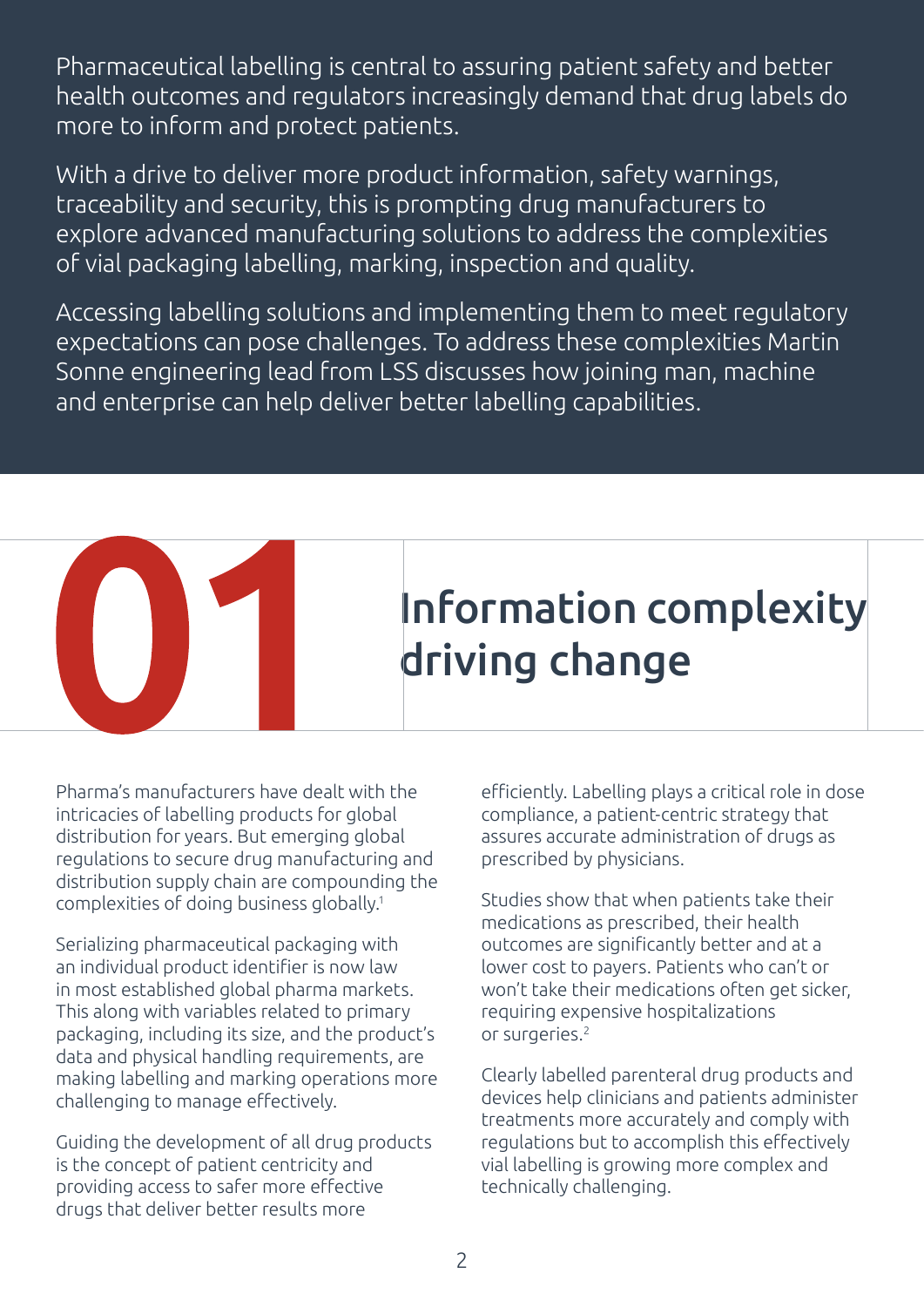Pharmaceutical labelling is central to assuring patient safety and better health outcomes and regulators increasingly demand that drug labels do more to inform and protect patients.

With a drive to deliver more product information, safety warnings, traceability and security, this is prompting drug manufacturers to explore advanced manufacturing solutions to address the complexities of vial packaging labelling, marking, inspection and quality.

Accessing labelling solutions and implementing them to meet regulatory expectations can pose challenges. To address these complexities Martin Sonne engineering lead from LSS discusses how joining man, machine and enterprise can help deliver better labelling capabilities.



Pharma's manufacturers have dealt with the intricacies of labelling products for global distribution for years. But emerging global regulations to secure drug manufacturing and distribution supply chain are compounding the complexities of doing business globally.1

Serializing pharmaceutical packaging with an individual product identifier is now law in most established global pharma markets. This along with variables related to primary packaging, including its size, and the product's data and physical handling requirements, are making labelling and marking operations more challenging to manage effectively.

Guiding the development of all drug products is the concept of patient centricity and providing access to safer more effective drugs that deliver better results more

efficiently. Labelling plays a critical role in dose compliance, a patient-centric strategy that assures accurate administration of drugs as prescribed by physicians.

Studies show that when patients take their medications as prescribed, their health outcomes are significantly better and at a lower cost to payers. Patients who can't or won't take their medications often get sicker, requiring expensive hospitalizations or surgeries.2

Clearly labelled parenteral drug products and devices help clinicians and patients administer treatments more accurately and comply with regulations but to accomplish this effectively vial labelling is growing more complex and technically challenging.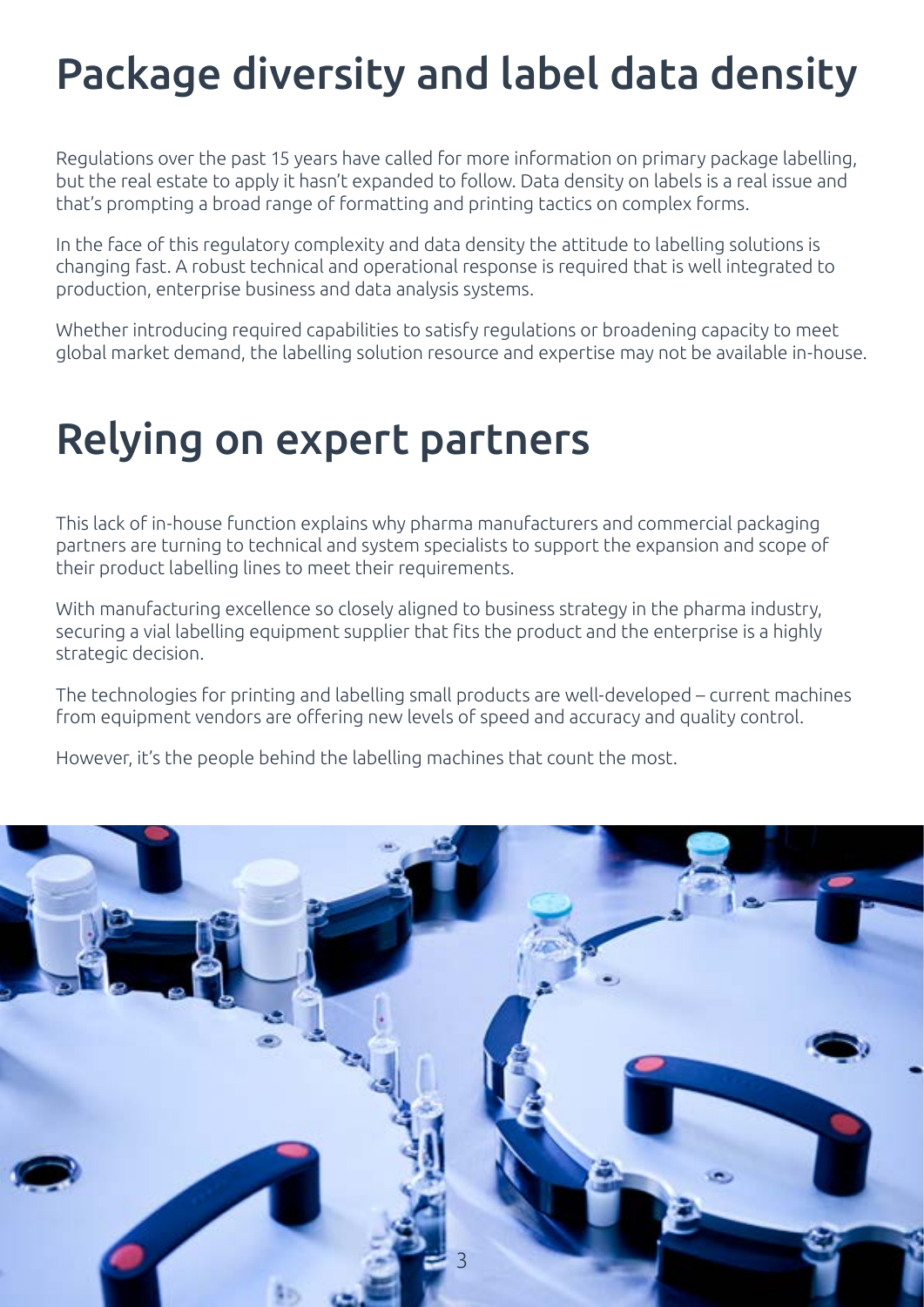# Package diversity and label data density

Regulations over the past 15 years have called for more information on primary package labelling, but the real estate to apply it hasn't expanded to follow. Data density on labels is a real issue and that's prompting a broad range of formatting and printing tactics on complex forms.

In the face of this regulatory complexity and data density the attitude to labelling solutions is changing fast. A robust technical and operational response is required that is well integrated to production, enterprise business and data analysis systems.

Whether introducing required capabilities to satisfy regulations or broadening capacity to meet global market demand, the labelling solution resource and expertise may not be available in-house.

### Relying on expert partners

This lack of in-house function explains why pharma manufacturers and commercial packaging partners are turning to technical and system specialists to support the expansion and scope of their product labelling lines to meet their requirements.

With manufacturing excellence so closely aligned to business strategy in the pharma industry, securing a vial labelling equipment supplier that fits the product and the enterprise is a highly strategic decision.

The technologies for printing and labelling small products are well-developed – current machines from equipment vendors are offering new levels of speed and accuracy and quality control.

However, it's the people behind the labelling machines that count the most.

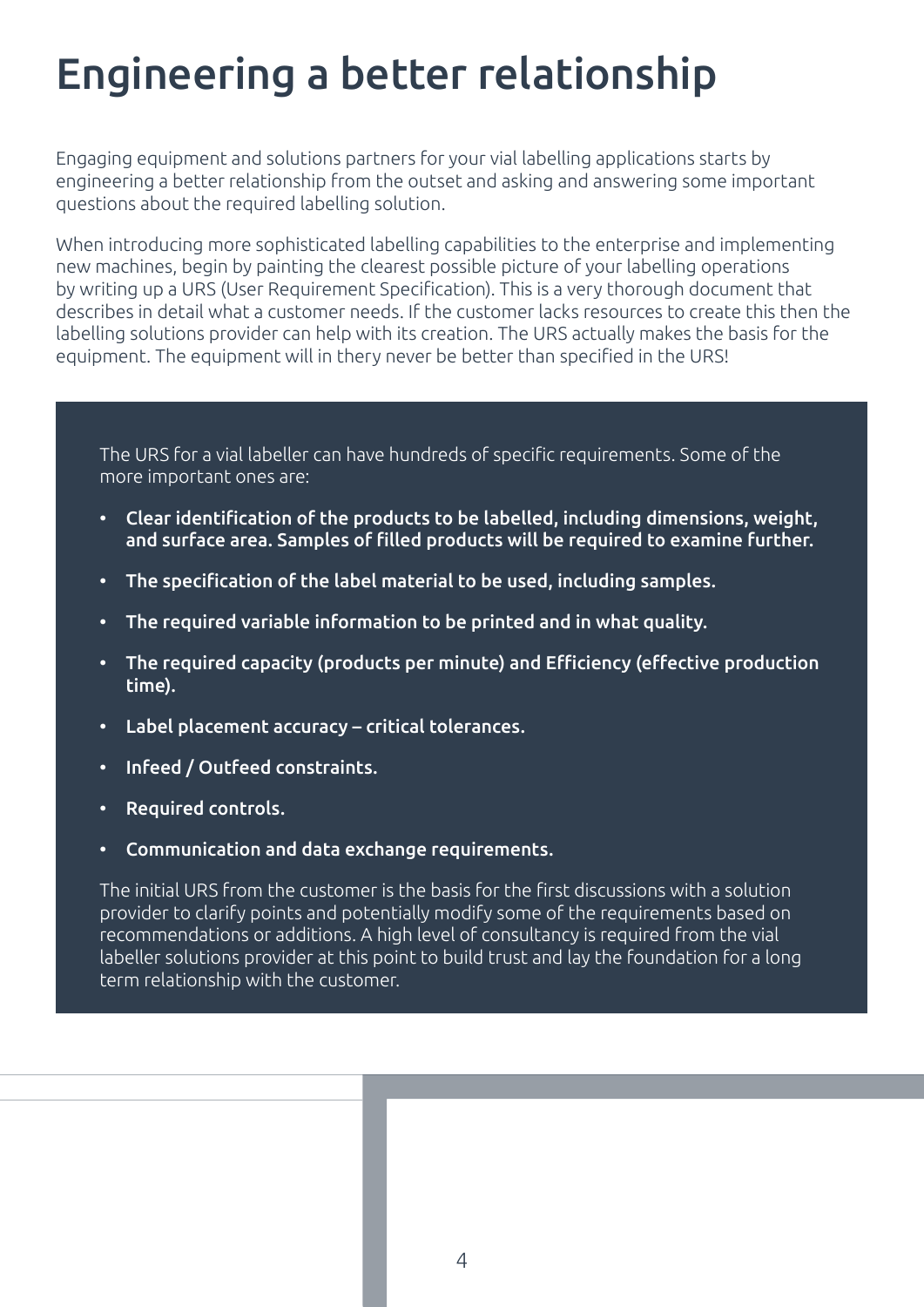# Engineering a better relationship

Engaging equipment and solutions partners for your vial labelling applications starts by engineering a better relationship from the outset and asking and answering some important questions about the required labelling solution.

When introducing more sophisticated labelling capabilities to the enterprise and implementing new machines, begin by painting the clearest possible picture of your labelling operations by writing up a URS (User Requirement Specification). This is a very thorough document that describes in detail what a customer needs. If the customer lacks resources to create this then the labelling solutions provider can help with its creation. The URS actually makes the basis for the equipment. The equipment will in thery never be better than specified in the URS!

The URS for a vial labeller can have hundreds of specific requirements. Some of the more important ones are:

- Clear identification of the products to be labelled, including dimensions, weight, and surface area. Samples of filled products will be required to examine further.
- The specification of the label material to be used, including samples.
- The required variable information to be printed and in what quality.
- The required capacity (products per minute) and Efficiency (effective production time).
- Label placement accuracy critical tolerances.
- Infeed / Outfeed constraints.
- • Required controls.
- • Communication and data exchange requirements.

The initial URS from the customer is the basis for the first discussions with a solution provider to clarify points and potentially modify some of the requirements based on recommendations or additions. A high level of consultancy is required from the vial labeller solutions provider at this point to build trust and lay the foundation for a long term relationship with the customer.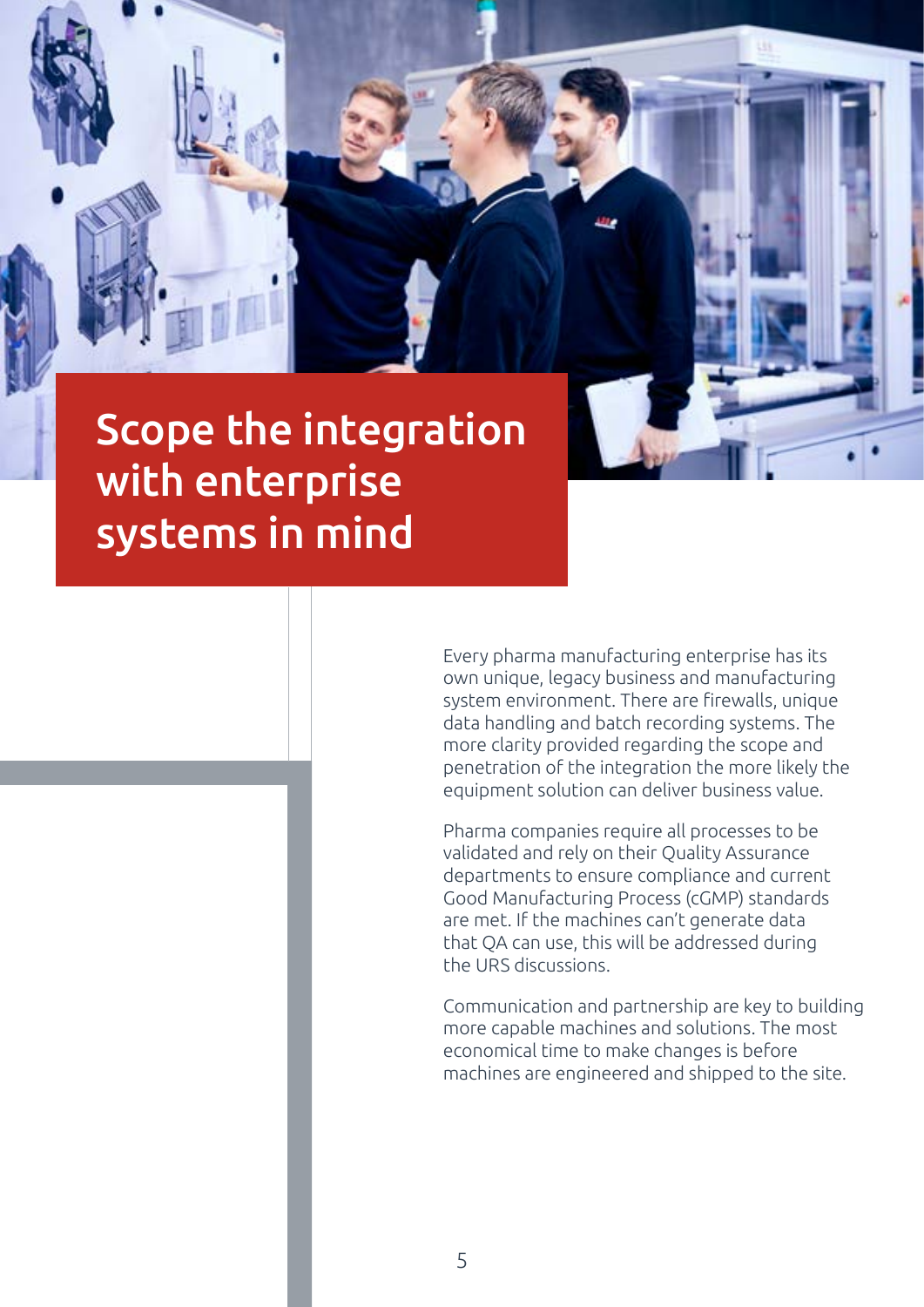### Scope the integration with enterprise systems in mind

Every pharma manufacturing enterprise has its own unique, legacy business and manufacturing system environment. There are firewalls, unique data handling and batch recording systems. The more clarity provided regarding the scope and penetration of the integration the more likely the equipment solution can deliver business value.

Pharma companies require all processes to be validated and rely on their Quality Assurance departments to ensure compliance and current Good Manufacturing Process (cGMP) standards are met. If the machines can't generate data that QA can use, this will be addressed during the URS discussions.

Communication and partnership are key to building more capable machines and solutions. The most economical time to make changes is before machines are engineered and shipped to the site.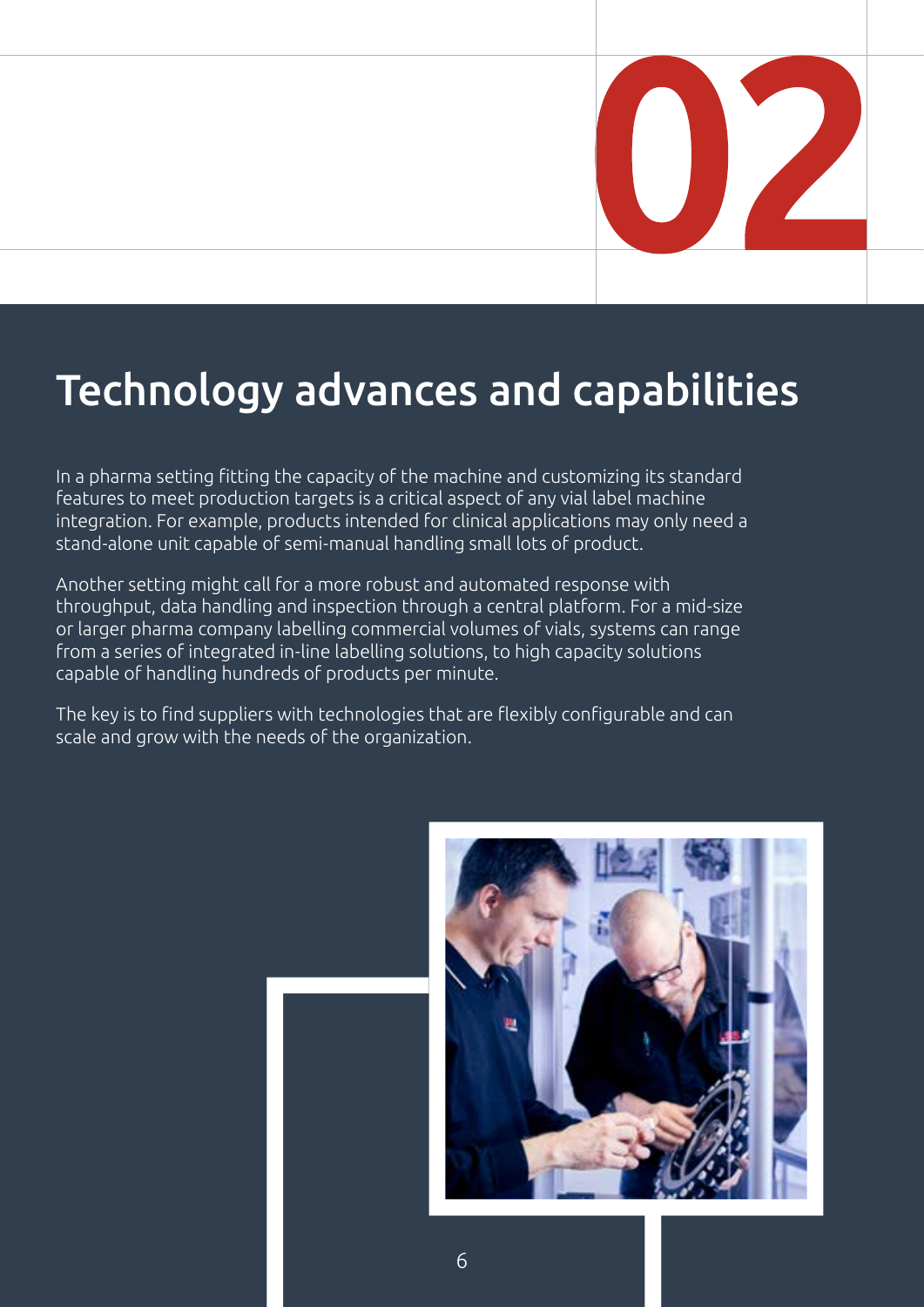

# Technology advances and capabilities

In a pharma setting fitting the capacity of the machine and customizing its standard features to meet production targets is a critical aspect of any vial label machine integration. For example, products intended for clinical applications may only need a stand-alone unit capable of semi-manual handling small lots of product.

Another setting might call for a more robust and automated response with throughput, data handling and inspection through a central platform. For a mid-size or larger pharma company labelling commercial volumes of vials, systems can range from a series of integrated in-line labelling solutions, to high capacity solutions capable of handling hundreds of products per minute.

The key is to find suppliers with technologies that are flexibly configurable and can scale and grow with the needs of the organization.



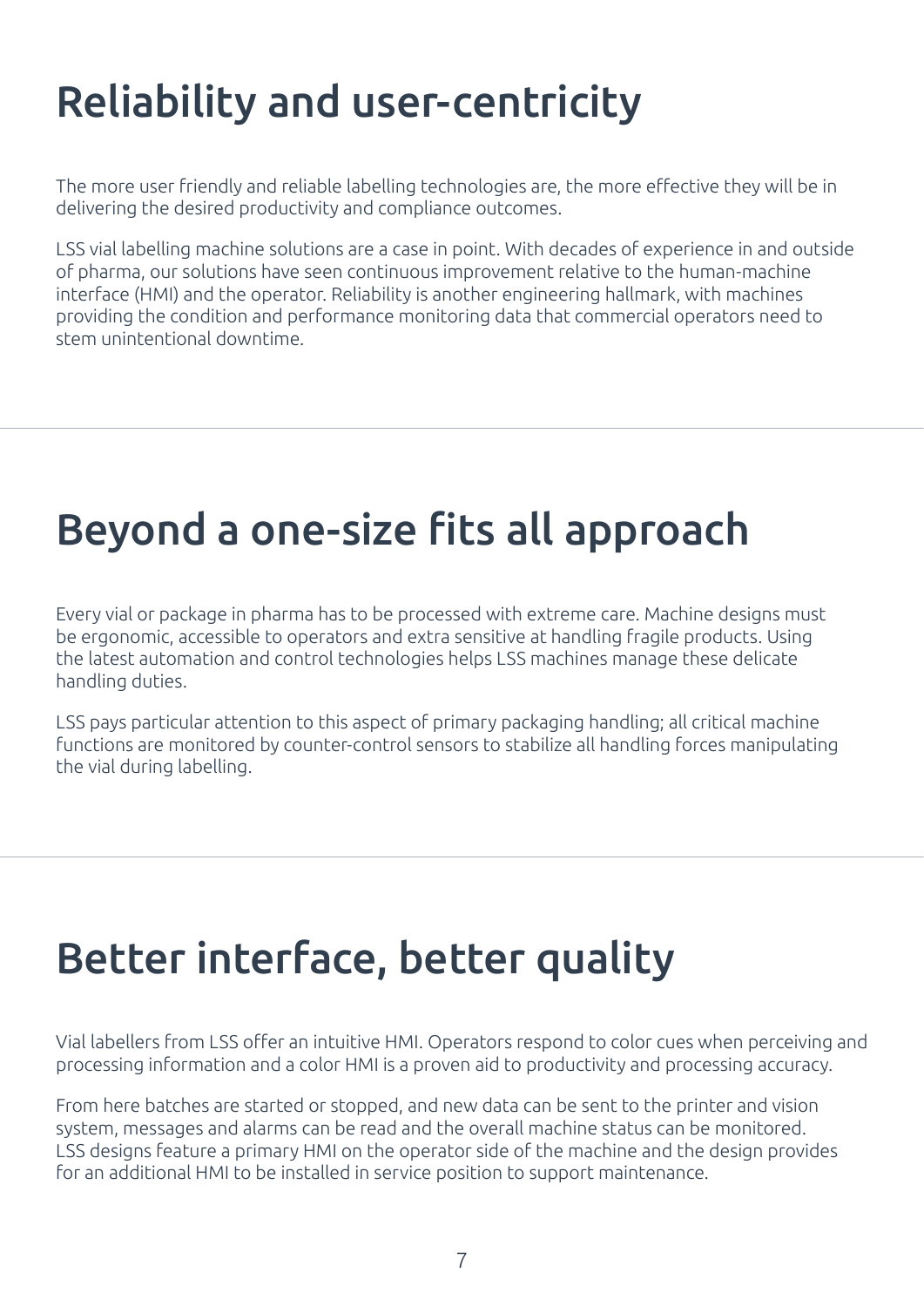# Reliability and user-centricity

The more user friendly and reliable labelling technologies are, the more effective they will be in delivering the desired productivity and compliance outcomes.

LSS vial labelling machine solutions are a case in point. With decades of experience in and outside of pharma, our solutions have seen continuous improvement relative to the human-machine interface (HMI) and the operator. Reliability is another engineering hallmark, with machines providing the condition and performance monitoring data that commercial operators need to stem unintentional downtime.

## Beyond a one-size fits all approach

Every vial or package in pharma has to be processed with extreme care. Machine designs must be ergonomic, accessible to operators and extra sensitive at handling fragile products. Using the latest automation and control technologies helps LSS machines manage these delicate handling duties.

LSS pays particular attention to this aspect of primary packaging handling; all critical machine functions are monitored by counter-control sensors to stabilize all handling forces manipulating the vial during labelling.

# Better interface, better quality

Vial labellers from LSS offer an intuitive HMI. Operators respond to color cues when perceiving and processing information and a color HMI is a proven aid to productivity and processing accuracy.

From here batches are started or stopped, and new data can be sent to the printer and vision system, messages and alarms can be read and the overall machine status can be monitored. LSS designs feature a primary HMI on the operator side of the machine and the design provides for an additional HMI to be installed in service position to support maintenance.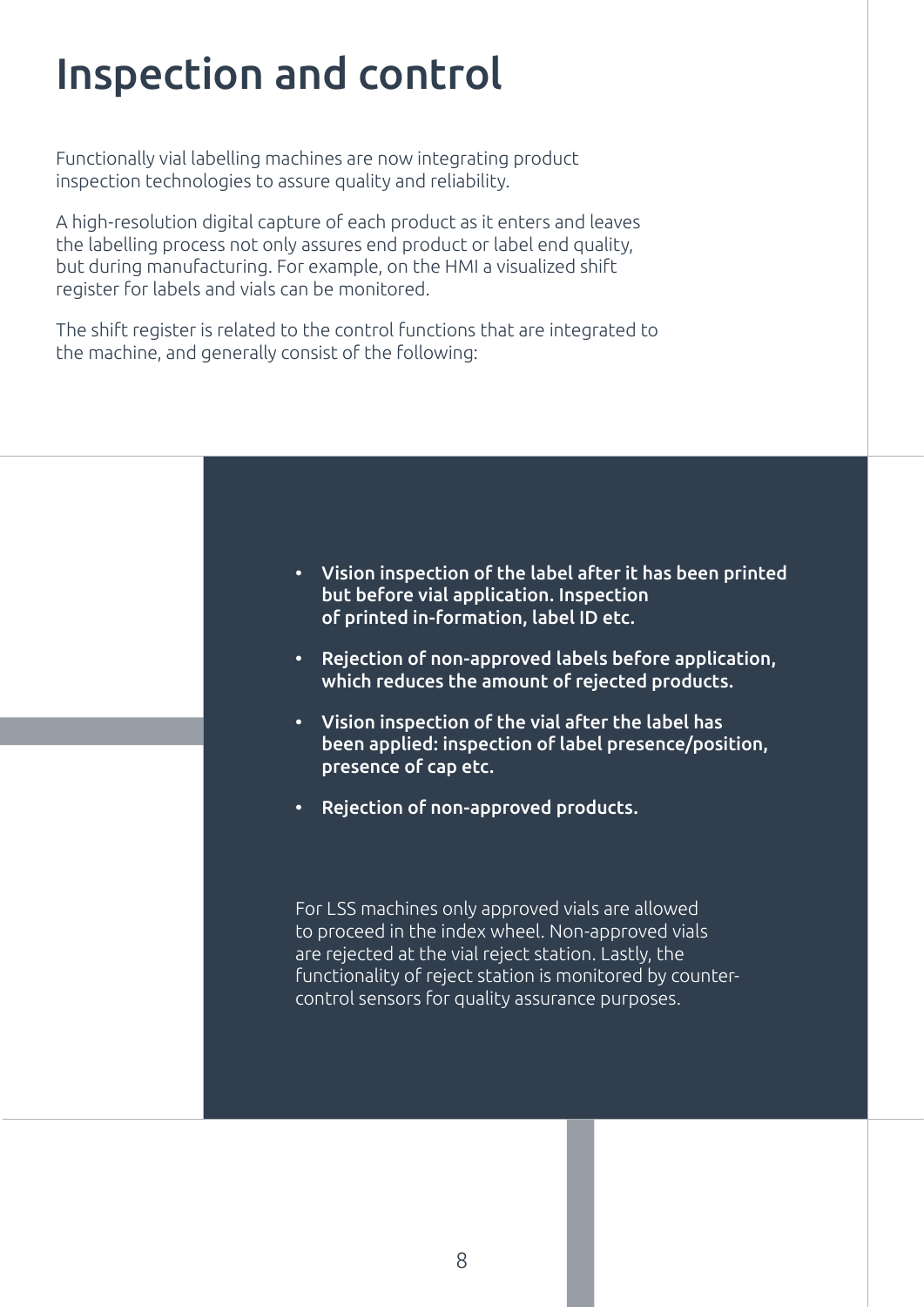## Inspection and control

Functionally vial labelling machines are now integrating product inspection technologies to assure quality and reliability.

A high-resolution digital capture of each product as it enters and leaves the labelling process not only assures end product or label end quality, but during manufacturing. For example, on the HMI a visualized shift register for labels and vials can be monitored.

The shift register is related to the control functions that are integrated to the machine, and generally consist of the following:



- Rejection of non-approved labels before application, which reduces the amount of rejected products.
- Vision inspection of the vial after the label has been applied: inspection of label presence/position, presence of cap etc.
- Rejection of non-approved products.

For LSS machines only approved vials are allowed to proceed in the index wheel. Non-approved vials are rejected at the vial reject station. Lastly, the functionality of reject station is monitored by countercontrol sensors for quality assurance purposes.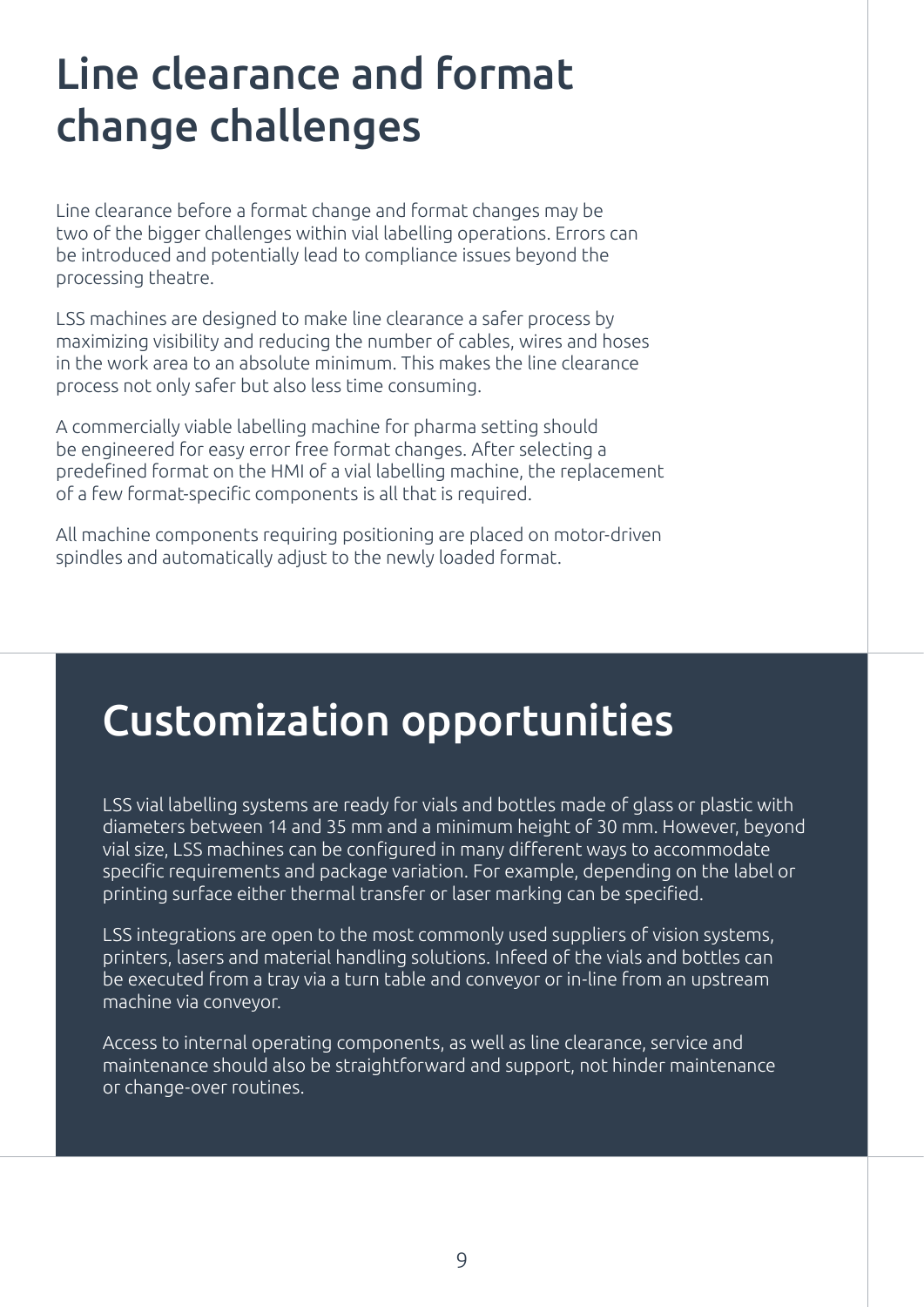## Line clearance and format change challenges

Line clearance before a format change and format changes may be two of the bigger challenges within vial labelling operations. Errors can be introduced and potentially lead to compliance issues beyond the processing theatre.

LSS machines are designed to make line clearance a safer process by maximizing visibility and reducing the number of cables, wires and hoses in the work area to an absolute minimum. This makes the line clearance process not only safer but also less time consuming.

A commercially viable labelling machine for pharma setting should be engineered for easy error free format changes. After selecting a predefined format on the HMI of a vial labelling machine, the replacement of a few format-specific components is all that is required.

All machine components requiring positioning are placed on motor-driven spindles and automatically adjust to the newly loaded format.

### Customization opportunities

LSS vial labelling systems are ready for vials and bottles made of glass or plastic with diameters between 14 and 35 mm and a minimum height of 30 mm. However, beyond vial size, LSS machines can be configured in many different ways to accommodate specific requirements and package variation. For example, depending on the label or printing surface either thermal transfer or laser marking can be specified.

LSS integrations are open to the most commonly used suppliers of vision systems, printers, lasers and material handling solutions. Infeed of the vials and bottles can be executed from a tray via a turn table and conveyor or in-line from an upstream machine via conveyor.

Access to internal operating components, as well as line clearance, service and maintenance should also be straightforward and support, not hinder maintenance or change-over routines.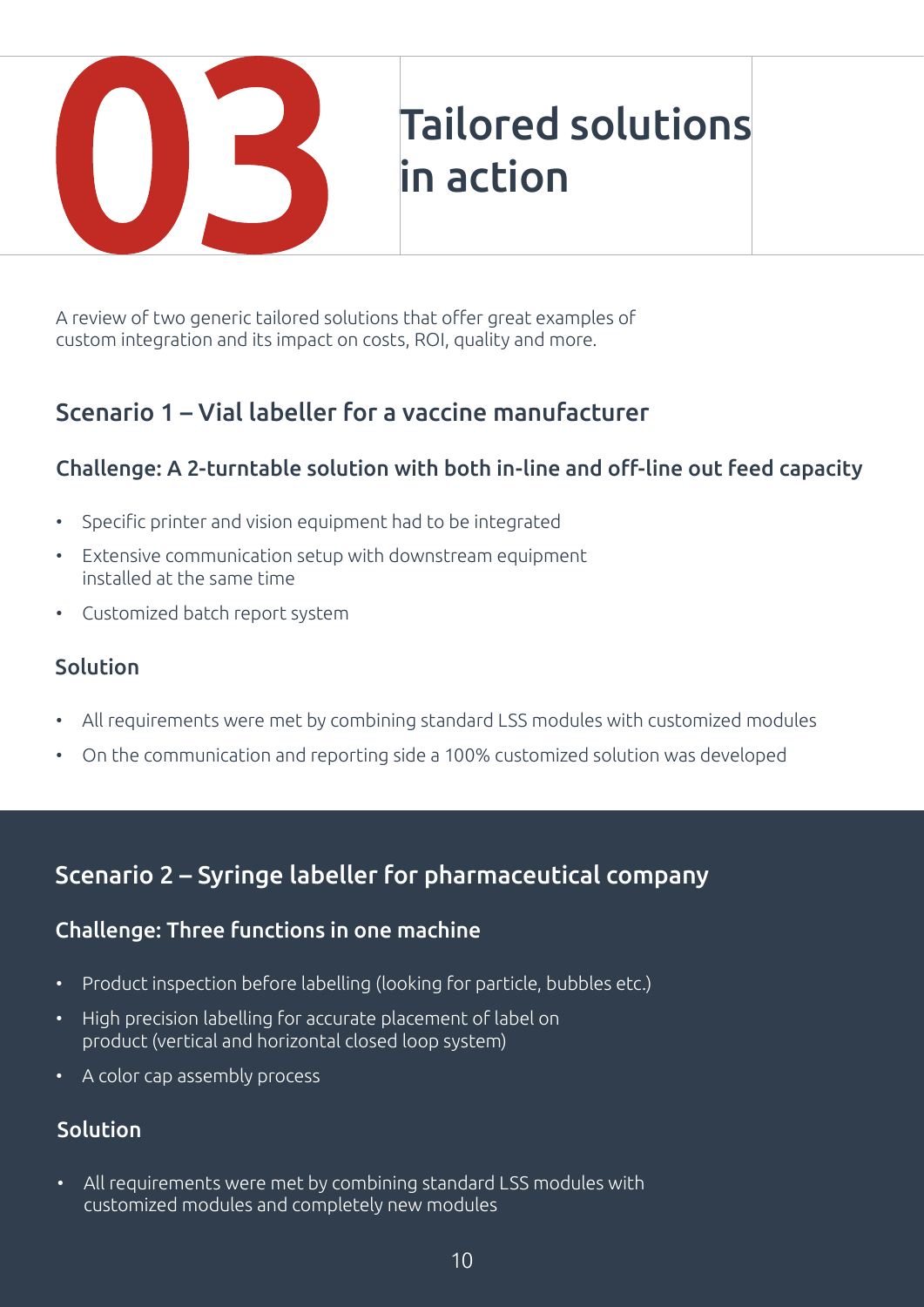

A review of two generic tailored solutions that offer great examples of custom integration and its impact on costs, ROI, quality and more.

### Scenario 1 – Vial labeller for a vaccine manufacturer

#### Challenge: A 2-turntable solution with both in-line and off-line out feed capacity

- Specific printer and vision equipment had to be integrated
- Extensive communication setup with downstream equipment installed at the same time
- Customized batch report system

#### **Solution**

- All requirements were met by combining standard LSS modules with customized modules
- On the communication and reporting side a 100% customized solution was developed

#### Scenario 2 – Syringe labeller for pharmaceutical company

#### Challenge: Three functions in one machine

- Product inspection before labelling (looking for particle, bubbles etc.)
- High precision labelling for accurate placement of label on product (vertical and horizontal closed loop system)
- A color cap assembly process

#### Solution

• All requirements were met by combining standard LSS modules with customized modules and completely new modules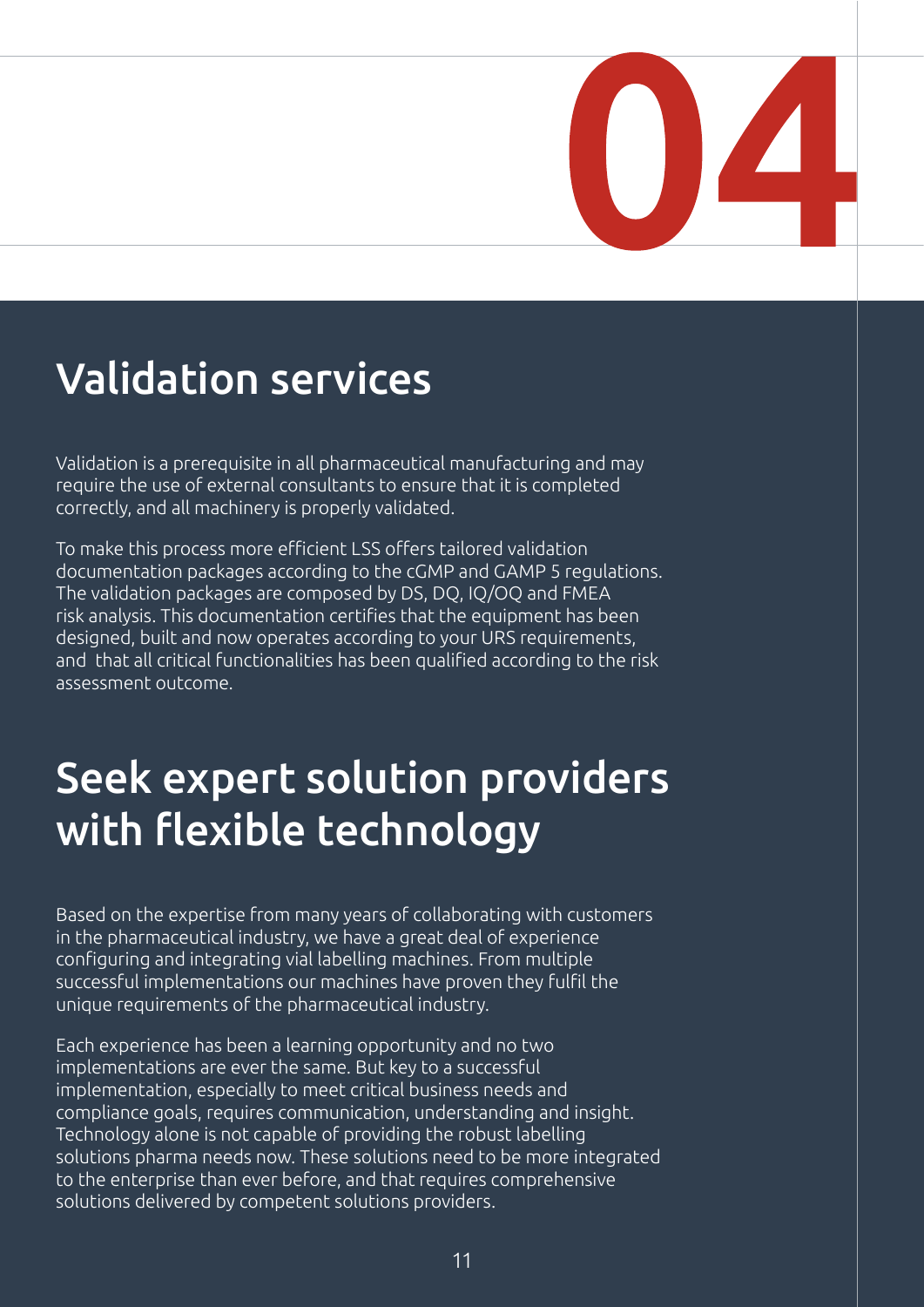

### Validation services

Validation is a prerequisite in all pharmaceutical manufacturing and may require the use of external consultants to ensure that it is completed correctly, and all machinery is properly validated.

To make this process more efficient LSS offers tailored validation documentation packages according to the cGMP and GAMP 5 regulations. The validation packages are composed by DS, DQ, IQ/OQ and FMEA risk analysis. This documentation certifies that the equipment has been designed, built and now operates according to your URS requirements, and that all critical functionalities has been qualified according to the risk assessment outcome.

### Seek expert solution providers with flexible technology

Based on the expertise from many years of collaborating with customers in the pharmaceutical industry, we have a great deal of experience configuring and integrating vial labelling machines. From multiple successful implementations our machines have proven they fulfil the unique requirements of the pharmaceutical industry.

Each experience has been a learning opportunity and no two implementations are ever the same. But key to a successful implementation, especially to meet critical business needs and compliance goals, requires communication, understanding and insight. Technology alone is not capable of providing the robust labelling solutions pharma needs now. These solutions need to be more integrated to the enterprise than ever before, and that requires comprehensive solutions delivered by competent solutions providers.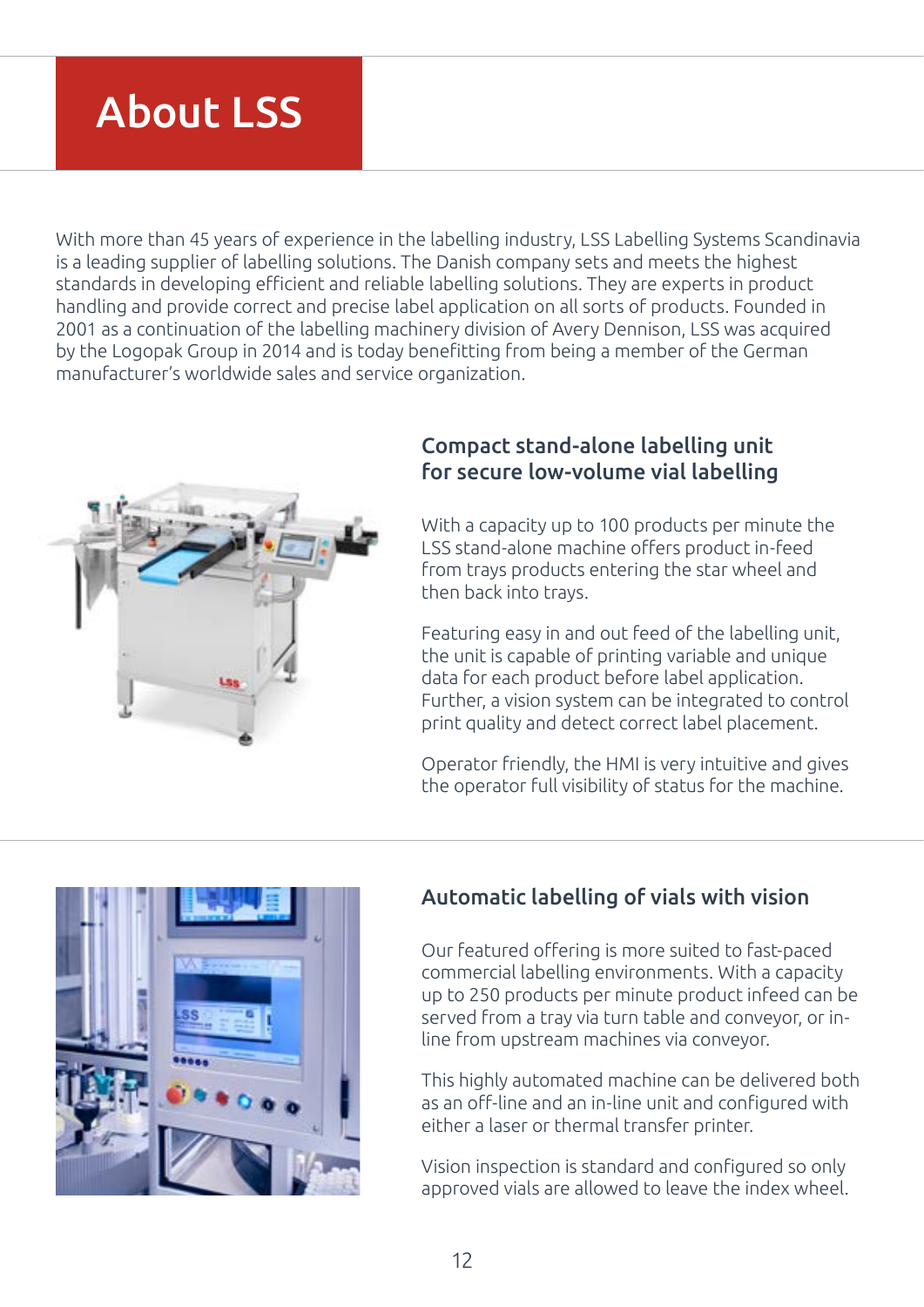### About LSS

With more than 45 years of experience in the labelling industry, LSS Labelling Systems Scandinavia is a leading supplier of labelling solutions. The Danish company sets and meets the highest standards in developing efficient and reliable labelling solutions. They are experts in product handling and provide correct and precise label application on all sorts of products. Founded in 2001 as a continuation of the labelling machinery division of Avery Dennison, LSS was acquired by the Logopak Group in 2014 and is today benefitting from being a member of the German manufacturer's worldwide sales and service organization.



#### Compact stand-alone labelling unit for secure low-volume vial labelling

With a capacity up to 100 products per minute the LSS stand-alone machine offers product in-feed from trays products entering the star wheel and then back into trays.

Featuring easy in and out feed of the labelling unit, the unit is capable of printing variable and unique data for each product before label application. Further, a vision system can be integrated to control print quality and detect correct label placement.

Operator friendly, the HMI is very intuitive and gives the operator full visibility of status for the machine.



#### Automatic labelling of vials with vision

Our featured offering is more suited to fast-paced commercial labelling environments. With a capacity up to 250 products per minute product infeed can be served from a tray via turn table and conveyor, or inline from upstream machines via conveyor.

This highly automated machine can be delivered both as an off-line and an in-line unit and configured with either a laser or thermal transfer printer.

Vision inspection is standard and configured so only approved vials are allowed to leave the index wheel.